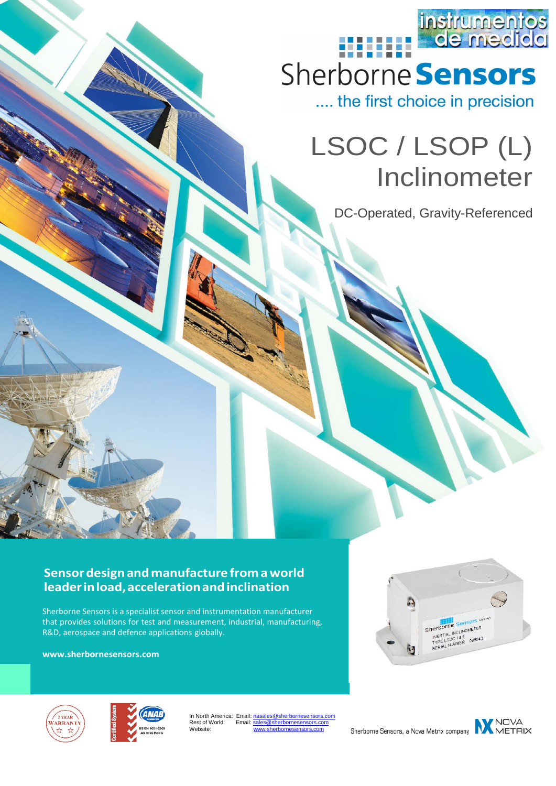

.... the first choice in precision

# LSOC / LSOP (L) Inclinometer

DC-Operated, Gravity-Referenced

#### **Sensordesignandmanufacture from a world leaderinload,accelerationandinclination**

Sherborne Sensors is a specialist sensor and instrumentation manufacturer that provides solutions for test and measurement, industrial, manufacturing, R&D, aerospace and defence applications globally.

**[www.sherbornesensors.com](http://www.sherbornesensors.com/)**







In North America: Email: nasales@sherbor Rest of World: ...........<br>Website:

Sherborne Sensors, a Nova Metrix company

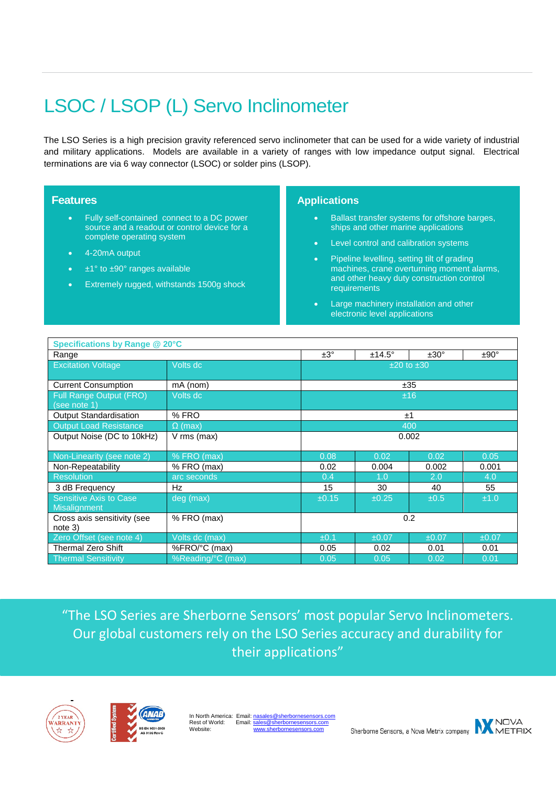# LSOC / LSOP (L) Servo Inclinometer

The LSO Series is a high precision gravity referenced servo inclinometer that can be used for a wide variety of industrial and military applications. Models are available in a variety of ranges with low impedance output signal. Electrical terminations are via 6 way connector (LSOC) or solder pins (LSOP).

#### **Features**

- Fully self-contained connect to a DC power source and a readout or control device for a complete operating system
- 4-20mA output
- $\pm$ 1° to  $\pm$ 90° ranges available
- Extremely rugged, withstands 1500g shock

#### **Applications**

- Ballast transfer systems for offshore barges, ships and other marine applications
- Level control and calibration systems
- Pipeline levelling, setting tilt of grading machines, crane overturning moment alarms, and other heavy duty construction control requirements
- Large machinery installation and other electronic level applications

| <b>Specifications by Range @ 20°C</b>   |                   |       |                |               |               |  |
|-----------------------------------------|-------------------|-------|----------------|---------------|---------------|--|
| Range                                   |                   | ±3°   | $±14.5^\circ$  | $±30^{\circ}$ | $±90^{\circ}$ |  |
| <b>Excitation Voltage</b>               | Volts dc          |       | $±20$ to $±30$ |               |               |  |
| <b>Current Consumption</b>              | mA (nom)          | ±35   |                |               |               |  |
| Full Range Output (FRO)<br>(see note 1) | Volts dc          | ±16   |                |               |               |  |
| Output Standardisation                  | % FRO             | ±1    |                |               |               |  |
| <b>Output Load Resistance</b>           | $\Omega$ (max)    | 400   |                |               |               |  |
| Output Noise (DC to 10kHz)              | $V$ rms (max)     | 0.002 |                |               |               |  |
| Non-Linearity (see note 2)              | % FRO (max)       | 0.08  | 0.02           | 0.02          | 0.05          |  |
| Non-Repeatability                       | % FRO (max)       | 0.02  | 0.004          | 0.002         | 0.001         |  |
| <b>Resolution</b>                       | arc seconds       | 0.4   | 1.0            | 2.0           | 4.0           |  |
| 3 dB Frequency                          | Hz                | 15    | 30             | 40            | 55            |  |
| Sensitive Axis to Case<br>Misalignment  | deg (max)         | ±0.15 | ±0.25          | ±0.5          | ±1.0          |  |
| Cross axis sensitivity (see<br>note 3)  | % FRO (max)       | 0.2   |                |               |               |  |
| Zero Offset (see note 4)                | Volts dc (max)    | ±0.1  | ±0.07          | ±0.07         | ±0.07         |  |
| <b>Thermal Zero Shift</b>               | %FRO/°C (max)     | 0.05  | 0.02           | 0.01          | 0.01          |  |
| Thermal Sensitivity                     | %Reading/°C (max) | 0.05  | 0.05           | 0.02          | 0.01          |  |

"The LSO Series are Sherborne Sensors' most popular Servo Inclinometers. Our global customers rely on the LSO Series accuracy and durability for their applications"





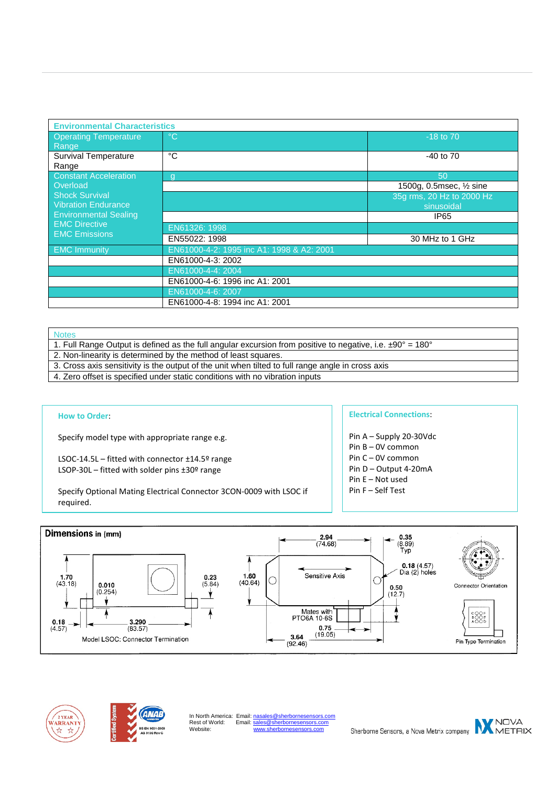| <b>Environmental Characteristics</b>                                         |                                           |                           |  |  |  |
|------------------------------------------------------------------------------|-------------------------------------------|---------------------------|--|--|--|
| <b>Operating Temperature</b><br>Range                                        | °C                                        | $-18$ to $70$             |  |  |  |
| Survival Temperature<br>Range                                                | °C                                        | $-40$ to $70$             |  |  |  |
| <b>Constant Acceleration</b>                                                 | g                                         | 50                        |  |  |  |
| Overload                                                                     |                                           | 1500g, 0.5msec, 1/2 sine  |  |  |  |
| <b>Shock Survival</b>                                                        |                                           | 35g rms, 20 Hz to 2000 Hz |  |  |  |
| <b>Vibration Endurance</b>                                                   |                                           | sinusoidal                |  |  |  |
| <b>Environmental Sealing</b><br><b>EMC Directive</b><br><b>EMC Emissions</b> |                                           | IP65                      |  |  |  |
|                                                                              | EN61326: 1998                             |                           |  |  |  |
|                                                                              | EN55022: 1998                             | 30 MHz to 1 GHz           |  |  |  |
| <b>EMC Immunity</b>                                                          | EN61000-4-2: 1995 inc A1: 1998 & A2: 2001 |                           |  |  |  |
|                                                                              | EN61000-4-3: 2002                         |                           |  |  |  |
|                                                                              | EN61000-4-4: 2004                         |                           |  |  |  |
|                                                                              | EN61000-4-6: 1996 inc A1: 2001            |                           |  |  |  |
|                                                                              | EN61000-4-6: 2007                         |                           |  |  |  |
|                                                                              | EN61000-4-8: 1994 inc A1: 2001            |                           |  |  |  |

#### Notes

- 1. Full Range Output is defined as the full angular excursion from positive to negative, i.e. ±90° = 180°
- 2. Non-linearity is determined by the method of least squares.
- 3. Cross axis sensitivity is the output of the unit when tilted to full range angle in cross axis
- 4. Zero offset is specified under static conditions with no vibration inputs

#### **How to Order**:

Specify model type with appropriate range e.g.

LSOC-14.5L – fitted with connector ±14.5º range LSOP-30L – fitted with solder pins ±30º range

Specify Optional Mating Electrical Connector 3CON-0009 with LSOC if required.

#### **Electrical Connections**:

- Pin A Supply 20-30Vdc
- Pin B 0V common
- Pin C 0V common
- Pin D Output 4-20mA
- Pin E Not used
- Pin F Self Test